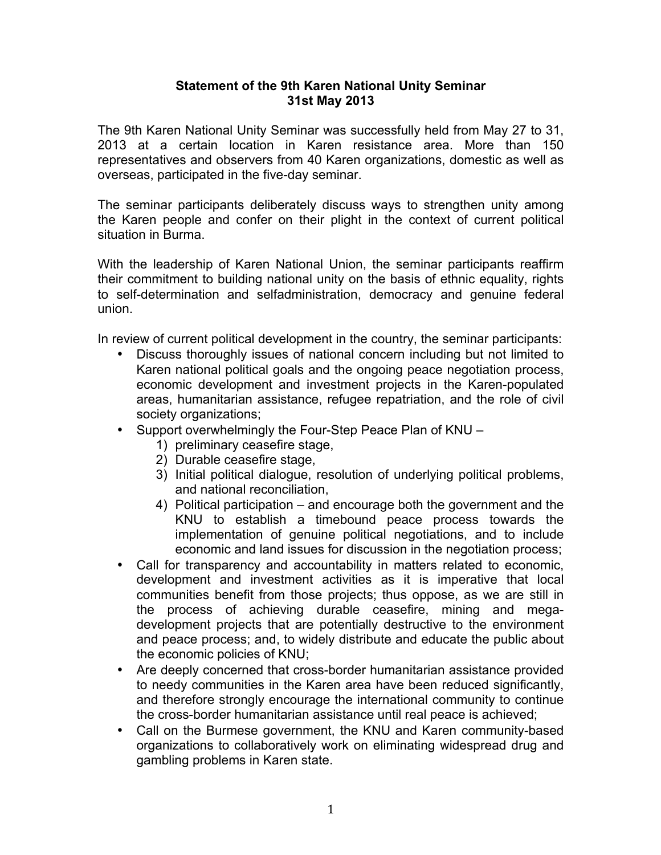## **Statement of the 9th Karen National Unity Seminar 31st May 2013**

The 9th Karen National Unity Seminar was successfully held from May 27 to 31, 2013 at a certain location in Karen resistance area. More than 150 representatives and observers from 40 Karen organizations, domestic as well as overseas, participated in the five-day seminar.

The seminar participants deliberately discuss ways to strengthen unity among the Karen people and confer on their plight in the context of current political situation in Burma.

With the leadership of Karen National Union, the seminar participants reaffirm their commitment to building national unity on the basis of ethnic equality, rights to self-determination and selfadministration, democracy and genuine federal union.

In review of current political development in the country, the seminar participants:

- Discuss thoroughly issues of national concern including but not limited to Karen national political goals and the ongoing peace negotiation process, economic development and investment projects in the Karen-populated areas, humanitarian assistance, refugee repatriation, and the role of civil society organizations;
- Support overwhelmingly the Four-Step Peace Plan of KNU
	- 1) preliminary ceasefire stage,
	- 2) Durable ceasefire stage,
	- 3) Initial political dialogue, resolution of underlying political problems, and national reconciliation,
	- 4) Political participation and encourage both the government and the KNU to establish a timebound peace process towards the implementation of genuine political negotiations, and to include economic and land issues for discussion in the negotiation process;
- Call for transparency and accountability in matters related to economic, development and investment activities as it is imperative that local communities benefit from those projects; thus oppose, as we are still in the process of achieving durable ceasefire, mining and megadevelopment projects that are potentially destructive to the environment and peace process; and, to widely distribute and educate the public about the economic policies of KNU;
- Are deeply concerned that cross-border humanitarian assistance provided to needy communities in the Karen area have been reduced significantly, and therefore strongly encourage the international community to continue the cross-border humanitarian assistance until real peace is achieved;
- Call on the Burmese government, the KNU and Karen community-based organizations to collaboratively work on eliminating widespread drug and gambling problems in Karen state.